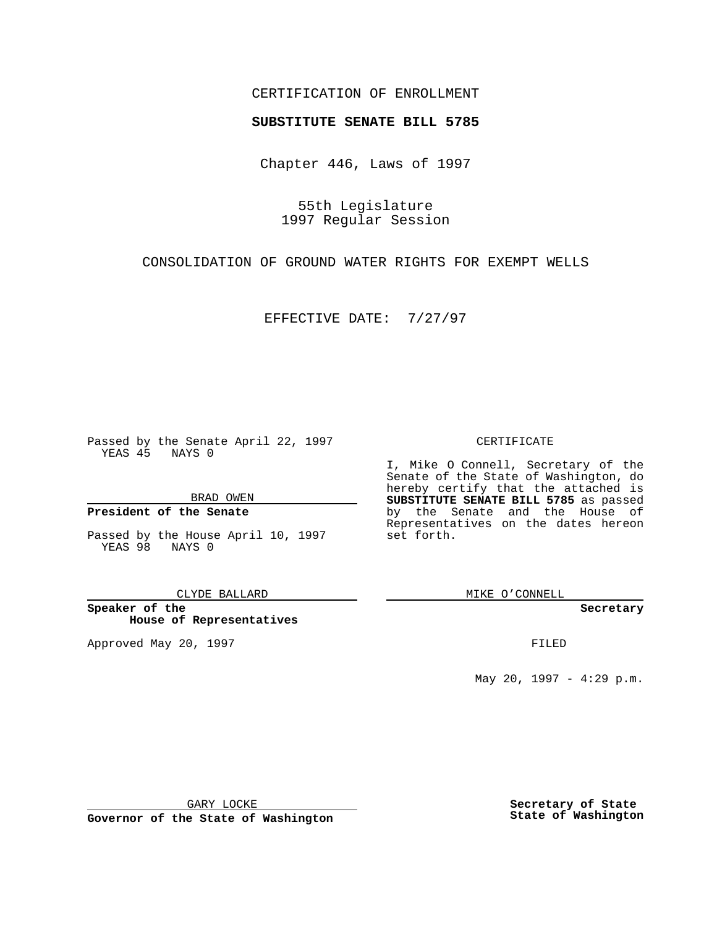## CERTIFICATION OF ENROLLMENT

# **SUBSTITUTE SENATE BILL 5785**

Chapter 446, Laws of 1997

55th Legislature 1997 Regular Session

CONSOLIDATION OF GROUND WATER RIGHTS FOR EXEMPT WELLS

EFFECTIVE DATE: 7/27/97

Passed by the Senate April 22, 1997 YEAS 45 NAYS 0

BRAD OWEN

### **President of the Senate**

Passed by the House April 10, 1997 YEAS 98 NAYS 0

CLYDE BALLARD

**Speaker of the House of Representatives**

Approved May 20, 1997 **FILED** 

#### CERTIFICATE

I, Mike O Connell, Secretary of the Senate of the State of Washington, do hereby certify that the attached is **SUBSTITUTE SENATE BILL 5785** as passed by the Senate and the House of Representatives on the dates hereon set forth.

MIKE O'CONNELL

#### **Secretary**

May 20, 1997 - 4:29 p.m.

GARY LOCKE

**Governor of the State of Washington**

**Secretary of State State of Washington**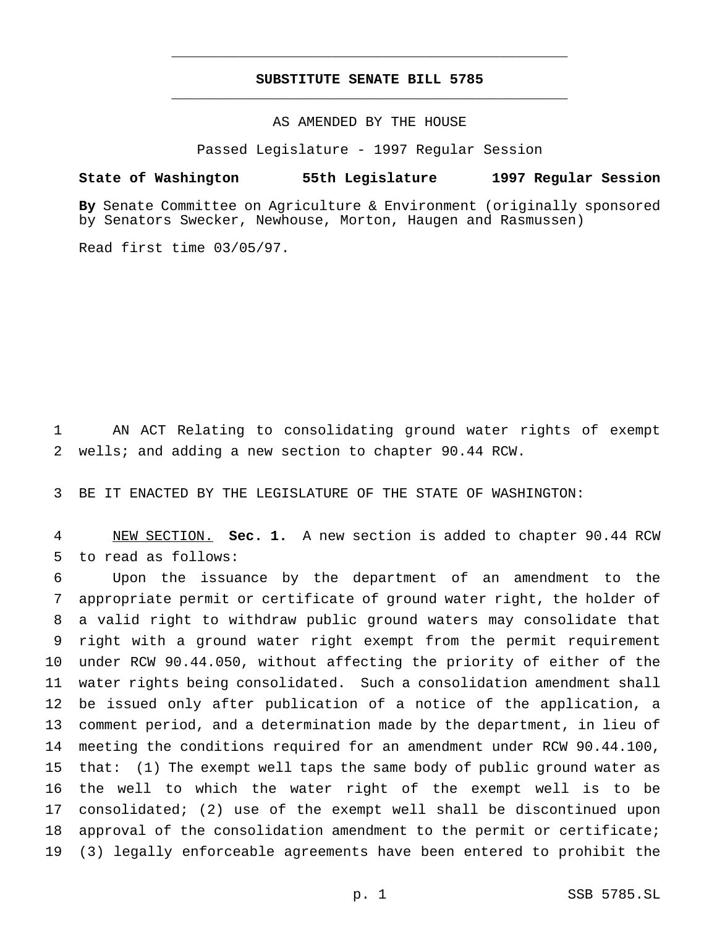# **SUBSTITUTE SENATE BILL 5785** \_\_\_\_\_\_\_\_\_\_\_\_\_\_\_\_\_\_\_\_\_\_\_\_\_\_\_\_\_\_\_\_\_\_\_\_\_\_\_\_\_\_\_\_\_\_\_

\_\_\_\_\_\_\_\_\_\_\_\_\_\_\_\_\_\_\_\_\_\_\_\_\_\_\_\_\_\_\_\_\_\_\_\_\_\_\_\_\_\_\_\_\_\_\_

AS AMENDED BY THE HOUSE

Passed Legislature - 1997 Regular Session

#### **State of Washington 55th Legislature 1997 Regular Session**

**By** Senate Committee on Agriculture & Environment (originally sponsored by Senators Swecker, Newhouse, Morton, Haugen and Rasmussen)

Read first time 03/05/97.

 AN ACT Relating to consolidating ground water rights of exempt wells; and adding a new section to chapter 90.44 RCW.

BE IT ENACTED BY THE LEGISLATURE OF THE STATE OF WASHINGTON:

 NEW SECTION. **Sec. 1.** A new section is added to chapter 90.44 RCW to read as follows:

 Upon the issuance by the department of an amendment to the appropriate permit or certificate of ground water right, the holder of a valid right to withdraw public ground waters may consolidate that right with a ground water right exempt from the permit requirement under RCW 90.44.050, without affecting the priority of either of the water rights being consolidated. Such a consolidation amendment shall be issued only after publication of a notice of the application, a comment period, and a determination made by the department, in lieu of meeting the conditions required for an amendment under RCW 90.44.100, that: (1) The exempt well taps the same body of public ground water as the well to which the water right of the exempt well is to be consolidated; (2) use of the exempt well shall be discontinued upon approval of the consolidation amendment to the permit or certificate; (3) legally enforceable agreements have been entered to prohibit the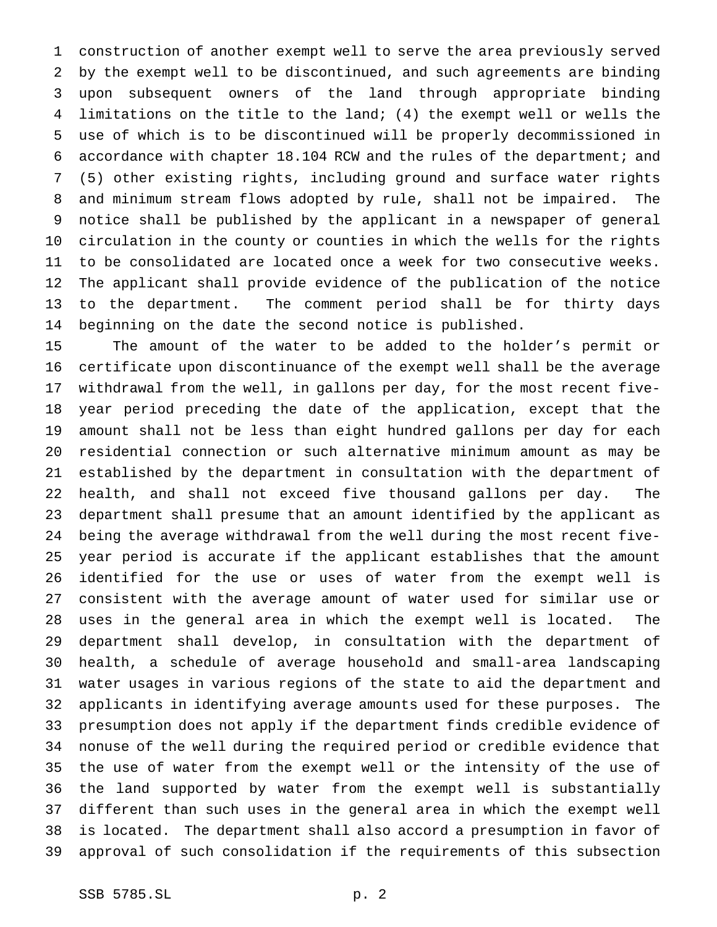construction of another exempt well to serve the area previously served by the exempt well to be discontinued, and such agreements are binding upon subsequent owners of the land through appropriate binding limitations on the title to the land; (4) the exempt well or wells the use of which is to be discontinued will be properly decommissioned in accordance with chapter 18.104 RCW and the rules of the department; and (5) other existing rights, including ground and surface water rights and minimum stream flows adopted by rule, shall not be impaired. The notice shall be published by the applicant in a newspaper of general circulation in the county or counties in which the wells for the rights to be consolidated are located once a week for two consecutive weeks. The applicant shall provide evidence of the publication of the notice to the department. The comment period shall be for thirty days beginning on the date the second notice is published.

 The amount of the water to be added to the holder's permit or certificate upon discontinuance of the exempt well shall be the average withdrawal from the well, in gallons per day, for the most recent five- year period preceding the date of the application, except that the amount shall not be less than eight hundred gallons per day for each residential connection or such alternative minimum amount as may be established by the department in consultation with the department of health, and shall not exceed five thousand gallons per day. The department shall presume that an amount identified by the applicant as being the average withdrawal from the well during the most recent five- year period is accurate if the applicant establishes that the amount identified for the use or uses of water from the exempt well is consistent with the average amount of water used for similar use or uses in the general area in which the exempt well is located. The department shall develop, in consultation with the department of health, a schedule of average household and small-area landscaping water usages in various regions of the state to aid the department and applicants in identifying average amounts used for these purposes. The presumption does not apply if the department finds credible evidence of nonuse of the well during the required period or credible evidence that the use of water from the exempt well or the intensity of the use of the land supported by water from the exempt well is substantially different than such uses in the general area in which the exempt well is located. The department shall also accord a presumption in favor of approval of such consolidation if the requirements of this subsection